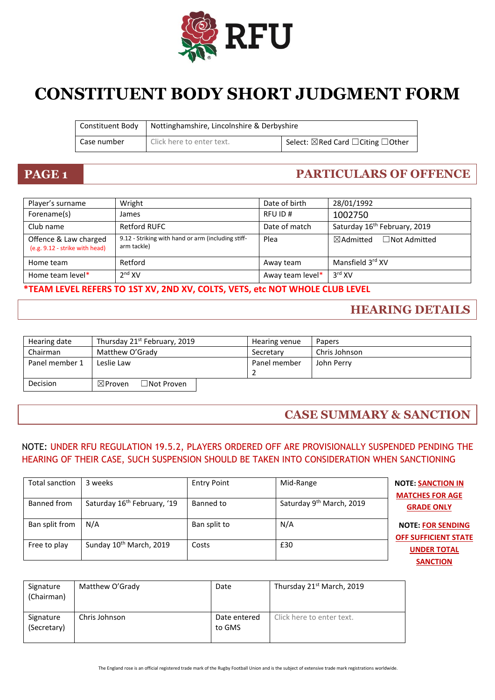

# **CONSTITUENT BODY SHORT JUDGMENT FORM**

| Constituent Body | Nottinghamshire, Lincolnshire & Derbyshire |                                                         |
|------------------|--------------------------------------------|---------------------------------------------------------|
| Case number      | Click here to enter text.                  | Select: $\boxtimes$ Red Card $\Box$ Citing $\Box$ Other |

# **PAGE 1 PARTICULARS OF OFFENCE**

| Player's surname                                        | Wright                                                            | Date of birth    | 28/01/1992                                  |
|---------------------------------------------------------|-------------------------------------------------------------------|------------------|---------------------------------------------|
| Forename(s)                                             | James                                                             | RFU ID#          | 1002750                                     |
| Club name                                               | <b>Retford RUFC</b>                                               | Date of match    | Saturday 16 <sup>th</sup> February, 2019    |
| Offence & Law charged<br>(e.g. 9.12 - strike with head) | 9.12 - Striking with hand or arm (including stiff-<br>arm tackle) | Plea             | $\boxtimes$ Admitted<br>$\Box$ Not Admitted |
| Home team                                               | Retford                                                           | Away team        | Mansfield 3 <sup>rd</sup> XV                |
| Home team level*                                        | 2 <sup>nd</sup> XV                                                | Away team level* | $3^{\text{rd}}$ XV                          |

### **\*TEAM LEVEL REFERS TO 1ST XV, 2ND XV, COLTS, VETS, etc NOT WHOLE CLUB LEVEL**

### **HEARING DETAILS**

| Hearing date   | Thursday 21 <sup>st</sup> February, 2019             | Hearing venue | <b>Papers</b> |
|----------------|------------------------------------------------------|---------------|---------------|
| Chairman       | Matthew O'Grady                                      | Secretary     | Chris Johnson |
| Panel member 1 | Leslie Law                                           | Panel member  | John Perry    |
|                |                                                      |               |               |
| Decision       | $\exists$ Not Proven $\exists$<br>$\boxtimes$ Proven |               |               |

### **CASE SUMMARY & SANCTION**

### NOTE: UNDER RFU REGULATION 19.5.2, PLAYERS ORDERED OFF ARE PROVISIONALLY SUSPENDED PENDING THE HEARING OF THEIR CASE, SUCH SUSPENSION SHOULD BE TAKEN INTO CONSIDERATION WHEN SANCTIONING

| Total sanction | 3 weeks                                 | <b>Entry Point</b> | Mid-Range                            | <b>NOTE: SANCTION IN</b><br><b>MATCHES FOR AGE</b>      |
|----------------|-----------------------------------------|--------------------|--------------------------------------|---------------------------------------------------------|
| Banned from    | Saturday 16 <sup>th</sup> February, '19 | Banned to          | Saturday 9 <sup>th</sup> March, 2019 | <b>GRADE ONLY</b>                                       |
| Ban split from | N/A                                     | Ban split to       | N/A                                  | <b>NOTE: FOR SENDING</b><br><b>OFF SUFFICIENT STATE</b> |
| Free to play   | Sunday 10 <sup>th</sup> March, 2019     | Costs              | £30                                  | <b>UNDER TOTAL</b><br><b>SANCTION</b>                   |

| Signature<br>(Chairman)  | Matthew O'Grady | Date                   | Thursday 21 <sup>st</sup> March, 2019 |
|--------------------------|-----------------|------------------------|---------------------------------------|
| Signature<br>(Secretary) | Chris Johnson   | Date entered<br>to GMS | Click here to enter text.             |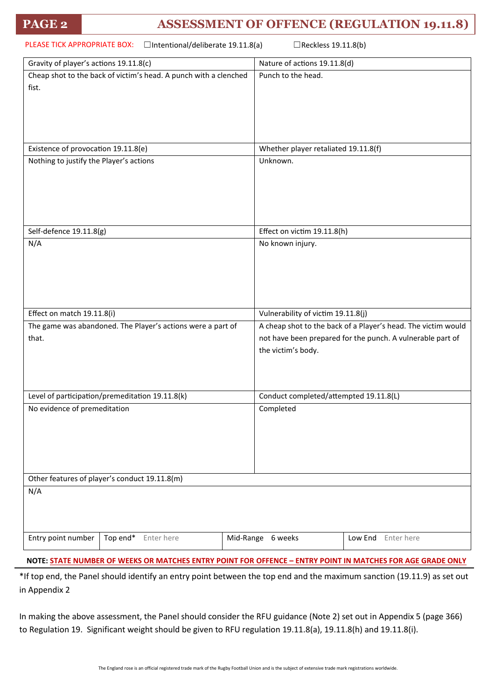### **PAGE 2 ASSESSMENT OF OFFENCE (REGULATION 19.11.8)**

| PLEASE TICK APPROPRIATE BOX:<br>$\Box$ Intentional/deliberate 19.11.8(a)<br>□Reckless 19.11.8(b) |                                                               |  |  |
|--------------------------------------------------------------------------------------------------|---------------------------------------------------------------|--|--|
| Gravity of player's actions 19.11.8(c)                                                           | Nature of actions 19.11.8(d)                                  |  |  |
| Cheap shot to the back of victim's head. A punch with a clenched                                 | Punch to the head.                                            |  |  |
| fist.                                                                                            |                                                               |  |  |
|                                                                                                  |                                                               |  |  |
|                                                                                                  |                                                               |  |  |
|                                                                                                  |                                                               |  |  |
| Existence of provocation 19.11.8(e)                                                              | Whether player retaliated 19.11.8(f)                          |  |  |
| Nothing to justify the Player's actions                                                          | Unknown.                                                      |  |  |
|                                                                                                  |                                                               |  |  |
|                                                                                                  |                                                               |  |  |
|                                                                                                  |                                                               |  |  |
|                                                                                                  |                                                               |  |  |
| Self-defence 19.11.8(g)                                                                          | Effect on victim 19.11.8(h)                                   |  |  |
| N/A                                                                                              | No known injury.                                              |  |  |
|                                                                                                  |                                                               |  |  |
|                                                                                                  |                                                               |  |  |
|                                                                                                  |                                                               |  |  |
|                                                                                                  |                                                               |  |  |
| Effect on match 19.11.8(i)                                                                       | Vulnerability of victim 19.11.8(j)                            |  |  |
| The game was abandoned. The Player's actions were a part of                                      | A cheap shot to the back of a Player's head. The victim would |  |  |
| that.                                                                                            | not have been prepared for the punch. A vulnerable part of    |  |  |
|                                                                                                  | the victim's body.                                            |  |  |
|                                                                                                  |                                                               |  |  |
|                                                                                                  |                                                               |  |  |
| Level of participation/premeditation 19.11.8(k)                                                  | Conduct completed/attempted 19.11.8(L)                        |  |  |
| No evidence of premeditation                                                                     | Completed                                                     |  |  |
|                                                                                                  |                                                               |  |  |
|                                                                                                  |                                                               |  |  |
|                                                                                                  |                                                               |  |  |
|                                                                                                  |                                                               |  |  |
| Other features of player's conduct 19.11.8(m)                                                    |                                                               |  |  |
| N/A                                                                                              |                                                               |  |  |
|                                                                                                  |                                                               |  |  |
|                                                                                                  |                                                               |  |  |
|                                                                                                  |                                                               |  |  |
| Entry point number<br>Top end*<br>Enter here                                                     | Mid-Range 6 weeks<br>Low End Enter here                       |  |  |
|                                                                                                  |                                                               |  |  |

**NOTE: STATE NUMBER OF WEEKS OR MATCHES ENTRY POINT FOR OFFENCE – ENTRY POINT IN MATCHES FOR AGE GRADE ONLY**

\*If top end, the Panel should identify an entry point between the top end and the maximum sanction (19.11.9) as set out in Appendix 2

In making the above assessment, the Panel should consider the RFU guidance (Note 2) set out in Appendix 5 (page 366) to Regulation 19. Significant weight should be given to RFU regulation 19.11.8(a), 19.11.8(h) and 19.11.8(i).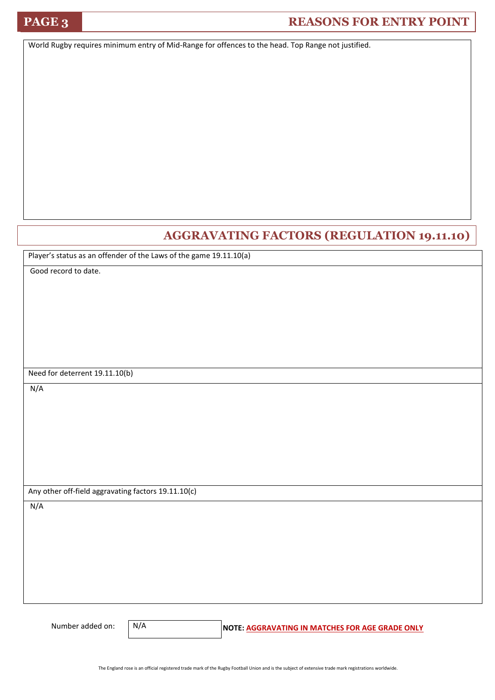## **PAGE 3 REASONS FOR ENTRY POINT**

World Rugby requires minimum entry of Mid-Range for offences to the head. Top Range not justified.

### **AGGRAVATING FACTORS (REGULATION 19.11.10)**

Player's status as an offender of the Laws of the game 19.11.10(a)

Good record to date.

Need for deterrent 19.11.10(b)

N/A

Any other off-field aggravating factors 19.11.10(c)

N/A

N/A

Number added on: **N/A** NOTE: **AGGRAVATING IN MATCHES FOR AGE GRADE ONLY**